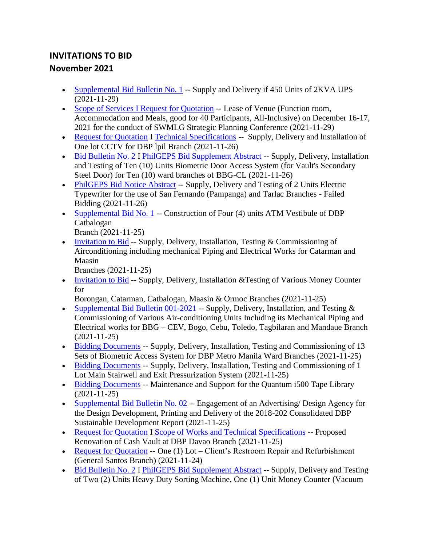## **INVITATIONS TO BID November 2021**

- [Supplemental Bid Bulletin No. 1](https://www.dbp.ph/wp-content/uploads/2021/11/Supplenental-bid-bulletin-no.-1-450-units-of-2KVA-2.pdf) -- Supply and Delivery if 450 Units of 2KVA UPS (2021-11-29)
- [Scope of Services I Request for Quotation](https://www.dbp.ph/wp-content/uploads/2021/11/SCOPE-OF-SERVICES-AND-RFQ-SWMLG-STRATEGIC-PLANNING-CONFERENCE-2.pdf) -- Lease of Venue (Function room, Accommodation and Meals, good for 40 Participants, All-Inclusive) on December 16-17, 2021 for the conduct of SWMLG Strategic Planning Conference (2021-11-29)
- [Request for Quotation](https://www.dbp.ph/wp-content/uploads/2021/11/RFQ-CCTV.pdf) I [Technical Specifications](https://www.dbp.ph/wp-content/uploads/2021/11/TECH-SPECS-CCTV.pdf) -- Supply, Delivery and Installation of One lot CCTV for DBP lpil Branch (2021-11-26)
- [Bid Bulletin No. 2](https://www.dbp.ph/wp-content/uploads/2021/11/BID-BULLETIN-NO.-2-dtd-Nov.-24-2021-Biometric-Access-System.pdf) I [PhilGEPS Bid Supplement Abstract](https://www.dbp.ph/wp-content/uploads/2021/11/PhilGEPS-Bid-Supplement-Abstract-Bid-Bulletin-No.-2-dtd-Nov.24-2021-BAS.pdf) -- Supply, Delivery, Installation and Testing of Ten (10) Units Biometric Door Access System (for Vault's Secondary Steel Door) for Ten (10) ward branches of BBG-CL (2021-11-26)
- [PhilGEPS Bid Notice Abstract](https://www.dbp.ph/wp-content/uploads/2021/11/PhilGEPS-Bid-Notice-Abstract-Failed-Electric-Typewriters-for-SFP-Tarlac-Branches.pdf) -- Supply, Delivery and Testing of 2 Units Electric Typewriter for the use of San Fernando (Pampanga) and Tarlac Branches - Failed Bidding (2021-11-26)
- [Supplemental Bid No. 1](https://www.dbp.ph/wp-content/uploads/2021/11/Bid-Bulletin-1-Catbalogan-ATM-Vestibule.pdf) -- Construction of Four (4) units ATM Vestibule of DBP Catbalogan

```
Branch (2021-11-25)
```
• [Invitation to Bid](https://www.dbp.ph/wp-content/uploads/2021/11/Invitation-to-Bid-Aircon.pdf) -- Supply, Delivery, Installation, Testing  $&$  Commissioning of Airconditioning including mechanical Piping and Electrical Works for Catarman and Maasin

Branches (2021-11-25)

• [Invitation to Bid](https://www.dbp.ph/wp-content/uploads/2021/11/Invitation-to-Bid-Money-Counter.pdf) -- Supply, Delivery, Installation & Testing of Various Money Counter for

Borongan, Catarman, Catbalogan, Maasin & Ormoc Branches (2021-11-25)

- [Supplemental Bid Bulletin 001-2021](https://www.dbp.ph/wp-content/uploads/2021/11/AIRCON_Supplemental-Bid-Bulletin-001-2021_11.22.2021_2.pdf) -- Supply, Delivery, Installation, and Testing  $\&$ Commissioning of Various Air-conditioning Units Including its Mechanical Piping and Electrical works for BBG – CEV, Bogo, Cebu, Toledo, Tagbilaran and Mandaue Branch (2021-11-25)
- [Bidding Documents](https://www.dbp.ph/wp-content/uploads/2021/11/Bidding-Documents_Biometrics-Access-Systems_compressed.pdf) -- Supply, Delivery, Installation, Testing and Commissioning of 13 Sets of Biometric Access System for DBP Metro Manila Ward Branches (2021-11-25)
- [Bidding Documents](https://www.dbp.ph/wp-content/uploads/2021/11/Bidding-Documents_Pressurization-System_compressed.pdf) -- Supply, Delivery, Installation, Testing and Commissioning of 1 Lot Main Stairwell and Exit Pressurization System (2021-11-25)
- [Bidding Documents](https://www.dbp.ph/wp-content/uploads/2021/11/Bidding-Documents_Quantum-i500-Tape-Library_compressed.pdf) -- Maintenance and Support for the Quantum i500 Tape Library (2021-11-25)
- [Supplemental Bid Bulletin No. 02](https://www.dbp.ph/wp-content/uploads/2021/11/Bid-Bulletin-No.-02_Design-Agency-for-SDR-CY2018-2020-Rebid_11.24.2021.pdf) -- Engagement of an Advertising/ Design Agency for the Design Development, Printing and Delivery of the 2018-202 Consolidated DBP Sustainable Development Report (2021-11-25)
- [Request for Quotation](https://www.dbp.ph/wp-content/uploads/2021/11/RFQ-Renovation-of-Vault.pdf) I [Scope of Works and Technical Specifications](https://www.dbp.ph/wp-content/uploads/2021/11/Scope-of-Works-and-Technical-Specifications.pdf) -- Proposed Renovation of Cash Vault at DBP Davao Branch (2021-11-25)
- [Request for Quotation](https://www.dbp.ph/wp-content/uploads/2021/11/CLIENTS-RESTROOM-REPAIR_REFURBISHMENT-GENERAL-SANTOS-BRANCH.pdf) -- One (1) Lot Client's Restroom Repair and Refurbishment (General Santos Branch) (2021-11-24)
- [Bid Bulletin No. 2](https://www.dbp.ph/wp-content/uploads/2021/11/BID-BULLETIN-NO.-2-dtd-Nov.19-2021-MONEY-COUNTING-MACHINES.pdf) I PhilGEPS Bid [Supplement Abstract](https://www.dbp.ph/wp-content/uploads/2021/11/PhilGEPS-Posting-Bid-Supplement-Abstract-Bid-Bulletin-No.-2-dtd-No.19-2021.pdf) -- Supply, Delivery and Testing of Two (2) Units Heavy Duty Sorting Machine, One (1) Unit Money Counter (Vacuum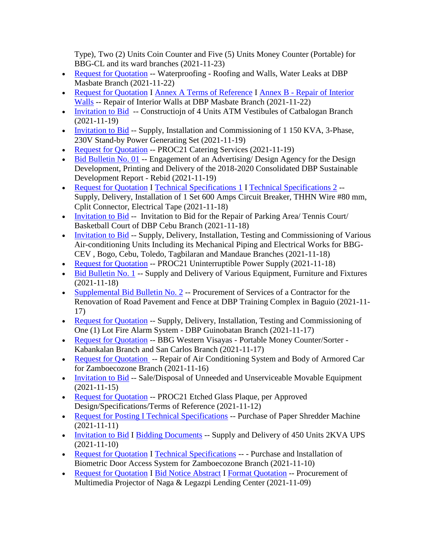Type), Two (2) Units Coin Counter and Five (5) Units Money Counter (Portable) for BBG-CL and its ward branches (2021-11-23)

- [Request for Quotation](https://www.dbp.ph/wp-content/uploads/2021/11/RFQ_Philgeps-Page-1.pdf) -- Waterproofing Roofing and Walls, Water Leaks at DBP Masbate Branch (2021-11-22)
- [Request for Quotation](https://www.dbp.ph/wp-content/uploads/2021/11/img20211117_20405435.pdf) I [Annex A Terms of Reference](https://www.dbp.ph/wp-content/uploads/2021/11/Annex-A-Terms-of-Reference_Repair-of-Interior-Wall.pdf) I Annex B [Repair of Interior](https://www.dbp.ph/wp-content/uploads/2021/11/Annex-B-ABC_Repair-of-Interior-Walls.pdf)  [Walls](https://www.dbp.ph/wp-content/uploads/2021/11/Annex-B-ABC_Repair-of-Interior-Walls.pdf) -- Repair of Interior Walls at DBP Masbate Branch (2021-11-22)
- [Invitation to Bid](https://www.dbp.ph/wp-content/uploads/2021/11/MX-M356NV_20211119_161618-1.pdf) -- Constructiojn of 4 Units ATM Vestibules of Catbalogan Branch (2021-11-19)
- [Invitation to Bid](https://www.dbp.ph/wp-content/uploads/2021/11/Invitation-to-Bid-Generating-Sets-CDO-Public-Bidding.pdf) -- Supply, Installation and Commissioning of 1 150 KVA, 3-Phase, 230V Stand-by Power Generating Set (2021-11-19)
- [Request for Quotation](https://www.dbp.ph/wp-content/uploads/2021/11/Philgeps-Ref.-No.-8212534.pdf) -- PROC21 Catering Services (2021-11-19)
- $\bullet$  [Bid Bulletin No. 01](https://www.dbp.ph/wp-content/uploads/2021/11/Bid-Bulletin-No.-01_11.18.2021_Design-Agency-for-SDR-CY2018-2020-Rebid.pdf) -- Engagement of an Advertising/ Design Agency for the Design Development, Printing and Delivery of the 2018-2020 Consolidated DBP Sustainable Development Report - Rebid (2021-11-19)
- [Request for Quotation](https://www.dbp.ph/wp-content/uploads/2021/11/RFQ-11162021_000938.pdf) I [Technical Specifications 1](https://www.dbp.ph/wp-content/uploads/2021/11/SF-Villa-specs-Wire.pdf) I [Technical Specifications 2](https://www.dbp.ph/wp-content/uploads/2021/11/DBP-San-Francisco-CB.pdf) -- Supply, Delivery, Installation of 1 Set 600 Amps Circuit Breaker, THHN Wire #80 mm, Cplit Connector, Electrical Tape (2021-11-18)
- [Invitation to Bid](https://www.dbp.ph/wp-content/uploads/2021/11/Invitation-to-Bid-Cebu-Branch-Parking-Area.pdf) -- Invitation to Bid for the Repair of Parking Area/ Tennis Court/ Basketball Court of DBP Cebu Branch (2021-11-18)
- [Invitation to Bid](https://www.dbp.ph/wp-content/uploads/2021/11/DBP_Aircon_Invitation-to-Bid.pdf) -- Supply, Delivery, Installation, Testing and Commissioning of Various Air-conditioning Units Including its Mechanical Piping and Electrical Works for BBG-CEV , Bogo, Cebu, Toledo, Tagbilaran and Mandaue Branches (2021-11-18)
- [Request for Quotation](https://www.dbp.ph/wp-content/uploads/2021/11/RFQ-Uninterruptible-Power-Supply.pdf) -- PROC21 Uninterruptible Power Supply (2021-11-18)
- [Bid Bulletin No. 1](https://www.dbp.ph/wp-content/uploads/2021/11/Bid-Bulletin-No.-1_EFF-Lot-2-Rebid-1.pdf) -- Supply and Delivery of Various Equipment, Furniture and Fixtures (2021-11-18)
- [Supplemental Bid Bulletin No. 2](https://www.dbp.ph/wp-content/uploads/2021/11/Supple-Bid-Bulletin-2-Road-Pavement.pdf) -- Procurement of Services of a Contractor for the Renovation of Road Pavement and Fence at DBP Training Complex in Baguio (2021-11- 17)
- [Request for Quotation](https://www.dbp.ph/wp-content/uploads/2021/11/Guinobatan-Fire-Alarm-3-pages.pdf) -- Supply, Delivery, Installation, Testing and Commissioning of One (1) Lot Fire Alarm System - DBP Guinobatan Branch (2021-11-17)
- [Request for Quotation](https://www.dbp.ph/wp-content/uploads/2021/11/BBG-WESTERN-VISAYAS-Portable-Money-CounterSorter-Kabankalan-Branch-and-San-Carlos-Branch.pdf) -- BBG Western Visayas Portable Money Counter/Sorter -Kabankalan Branch and San Carlos Branch (2021-11-17)
- [Request for Quotation](https://www.dbp.ph/wp-content/uploads/2021/11/RFQ-REPAIR-OF-AIRCON-BODY-OF-ARMORED-CAR001.pdf) -- Repair of Air Conditioning System and Body of Armored Car for Zamboecozone Branch (2021-11-16)
- [Invitation to Bid](https://www.dbp.ph/wp-content/uploads/2021/11/Invitation-to-Bid_Disposal-of-EFFs-TEs-15Nov2021.pdf) -- Sale/Disposal of Unneeded and Unserviceable Movable Equipment (2021-11-15)
- [Request for Quotation](https://www.dbp.ph/wp-content/uploads/2021/11/Philgeps-Ref-No.-8185969.pdf) -- PROC21 Etched Glass Plaque, per Approved Design/Specifications/Terms of Reference (2021-11-12)
- [Request for Posting I Technical Specifications](https://www.dbp.ph/wp-content/uploads/2021/11/DBP-POSTING_PAPER-SHREDDERS-11-11-2021-1.pdf) -- Purchase of Paper Shredder Machine (2021-11-11)
- [Invitation to Bid](https://www.dbp.ph/wp-content/uploads/2021/11/IB-450-units-2KVA-UPS-G-2021-46.pdf) I [Bidding Documents](https://www.dbp.ph/wp-content/uploads/2021/11/Bidding-Documents_450-2KVA-UPS.pdf) -- Supply and Delivery of 450 Units 2KVA UPS (2021-11-10)
- [Request for Quotation](https://www.dbp.ph/wp-content/uploads/2021/11/RFQ-BAS-ZAMBOECOZONE.pdf) I [Technical Specifications](https://www.dbp.ph/wp-content/uploads/2021/11/TECHNICAL-SPECS-BAS-ZAMBOECOZONE.pdf) --- Purchase and Installation of Biometric Door Access System for Zamboecozone Branch (2021-11-10)
- [Request for Quotation](https://www.dbp.ph/wp-content/uploads/2021/11/RFQ-PROJECTOR.pdf) I [Bid Notice Abstract](https://www.dbp.ph/wp-content/uploads/2021/11/printableBidNoticeAbstract.pdf) I [Format Quotation](https://www.dbp.ph/wp-content/uploads/2021/11/Format-Quotation-PROJECTOR.pdf) -- Procurement of Multimedia Projector of Naga & Legazpi Lending Center (2021-11-09)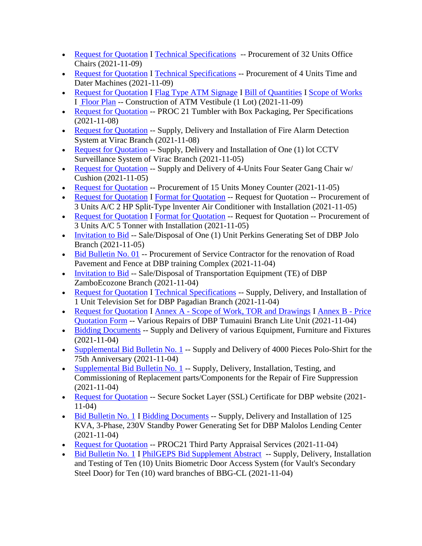- [Request for Quotation](https://www.dbp.ph/wp-content/uploads/2021/11/Quotation-Office-Chairs.pdf) I [Technical Specifications](https://www.dbp.ph/wp-content/uploads/2021/11/Tech-Specs-Office-Chairs.pdf) -- Procurement of 32 Units Office Chairs (2021-11-09)
- [Request for Quotation](https://www.dbp.ph/wp-content/uploads/2021/11/Quotation-Time-Dater-Machine.pdf) I [Technical Specifications](https://www.dbp.ph/wp-content/uploads/2021/11/Tech-Specs-Time-and-Dater-Machine.pdf) -- Procurement of 4 Units Time and Dater Machines (2021-11-09)
- [Request for Quotation](https://www.dbp.ph/wp-content/uploads/2021/11/Quotation-Form-ATM-Vestibule.pdf) I [Flag Type ATM Signage](https://www.dbp.ph/wp-content/uploads/2021/11/Flag-Type-ATM-Signage.pdf) I [Bill of Quantities](https://www.dbp.ph/wp-content/uploads/2021/11/ATM-Vestibule-BOQ.pdf) I [Scope of Works](https://www.dbp.ph/wp-content/uploads/2021/11/ATM-Vestibule-Scope-of-Works.pdf) I [Floor Plan](https://www.dbp.ph/wp-content/uploads/2021/11/ATM-Vestibule-Floor-Plan.pdf) -- Construction of ATM Vestibule (1 Lot) (2021-11-09)
- [Request for Quotation](https://www.dbp.ph/wp-content/uploads/2021/11/Tumbler-Philgeps-No.-8163464-1.pdf) -- PROC 21 Tumbler with Box Packaging, Per Specifications (2021-11-08)
- [Request for Quotation](https://www.dbp.ph/wp-content/uploads/2021/11/PhilGEPS-Fire-Alarm-Virac.pdf) -- Supply, Delivery and Installation of Fire Alarm Detection System at Virac Branch (2021-11-08)
- [Request for Quotation](https://www.dbp.ph/wp-content/uploads/2021/11/2021-011-CCTV-VIRAC.pdf) -- Supply, Delivery and Installation of One (1) lot CCTV Surveillance System of Virac Branch (2021-11-05)
- [Request for Quotation](https://www.dbp.ph/wp-content/uploads/2021/11/2021-012-GANG-CHAIRS-VIRAC-1.pdf) -- Supply and Delivery of 4-Units Four Seater Gang Chair w/ Cushion (2021-11-05)
- [Request for Quotation](https://www.dbp.ph/wp-content/uploads/2021/11/MX-M356NV_20211105_092329-1-1.pdf) -- Procurement of 15 Units Money Counter (2021-11-05)
- [Request for Quotation](https://www.dbp.ph/wp-content/uploads/2021/11/RFQ-SPLIT-TYPE.pdf) I [Format for Quotation](https://www.dbp.ph/wp-content/uploads/2021/11/Format-Quotation-SPLIT-TYPE.pdf) -- Request for Quotation -- Procurement of 3 Units A/C 2 HP Split-Type lnventer Air Conditioner with Installation (2021-11-05)
- [Request for Quotation](https://www.dbp.ph/wp-content/uploads/2021/11/RFQ-TONNER.pdf) I [Format for Quotation](https://www.dbp.ph/wp-content/uploads/2021/11/Format-Quotation-TONNER.pdf) -- Request for Quotation -- Procurement of 3 Units A/C 5 Tonner with Installation (2021-11-05)
- [Invitation to Bid](https://www.dbp.ph/wp-content/uploads/2021/11/2ND-INVITATION-TO-BID-JOLO-1.pdf) -- Sale/Disposal of One (1) Unit Perkins Generating Set of DBP Jolo Branch (2021-11-05)
- [Bid Bulletin No. 01](https://www.dbp.ph/wp-content/uploads/2021/11/Bid-Bulletin-No.-01_Renovation-of-Road-Pavement_11.04.2021.pdf) -- Procurement of Service Contractor for the renovation of Road Pavement and Fence at DBP training Complex (2021-11-04)
- [Invitation to Bid](https://www.dbp.ph/wp-content/uploads/2021/11/2ND-INVITATION-TO-BID-ZAMBOECOZONE001.pdf) -- Sale/Disposal of Transportation Equipment (TE) of DBP ZamboEcozone Branch (2021-11-04)
- [Request for Quotation](https://www.dbp.ph/wp-content/uploads/2021/11/RFQ-TELEVISION001.pdf) I [Technical Specifications](https://www.dbp.ph/wp-content/uploads/2021/11/TECNICAL-SPECS-TELEVISION.pdf) -- Supply, Delivery, and Installation of 1 Unit Television Set for DBP Pagadian Branch (2021-11-04)
- [Request for Quotation](https://www.dbp.ph/wp-content/uploads/2021/11/RFQ-Rpair-of-Tumauini-BLU-1.pdf) I Annex A [Scope of Work, TOR and Drawings](https://www.dbp.ph/wp-content/uploads/2021/11/Annex-A-Scope-of-Work-TOR-and-Drawings-1.pdf) I [Annex B -](https://www.dbp.ph/wp-content/uploads/2021/11/Annex-B-Price-Quotation-Form-1.pdf) Price [Quotation Form](https://www.dbp.ph/wp-content/uploads/2021/11/Annex-B-Price-Quotation-Form-1.pdf) -- Various Repairs of DBP Tumauini Branch Lite Unit (2021-11-04)
- [Bidding Documents](https://www.dbp.ph/wp-content/uploads/2021/11/Bidding-Documents_EFF-Lot-2-Rebid.pdf) -- Supply and Delivery of various Equipment, Furniture and Fixtures (2021-11-04)
- [Supplemental Bid Bulletin No. 1](https://www.dbp.ph/wp-content/uploads/2021/11/Bid-Bulletin-No.-1_Polo-Shirts.pdf) -- Supply and Delivery of 4000 Pieces Polo-Shirt for the 75th Anniversary (2021-11-04)
- [Supplemental Bid Bulletin No. 1](https://www.dbp.ph/wp-content/uploads/2021/11/Bid-Bulletin-No.-1_Fire-Suppression-System.pdf) -- Supply, Delivery, Installation, Testing, and Commissioning of Replacement parts/Components for the Repair of Fire Suppression (2021-11-04)
- [Request for Quotation](https://www.dbp.ph/wp-content/uploads/2021/11/RFQ-SSL-certificate-2021.pdf) -- Secure Socket Layer (SSL) Certificate for DBP website (2021-11-04)
- [Bid Bulletin No. 1](https://www.dbp.ph/wp-content/uploads/2021/11/BID-BULLETIN-No.1.pdf) I [Bidding Documents](https://www.dbp.ph/wp-content/uploads/2021/11/Malolos-GENSET-BID-Docs-Posted-1.pdf) -- Supply, Delivery and Installation of 125 KVA, 3-Phase, 230V Standby Power Generating Set for DBP Malolos Lending Center (2021-11-04)
- [Request for Quotation](https://www.dbp.ph/wp-content/uploads/2021/11/Philgeps-Ref-No.-8146505-Third-Party-Appraisal.pdf) -- PROC21 Third Party Appraisal Services (2021-11-04)
- [Bid Bulletin No. 1](https://www.dbp.ph/wp-content/uploads/2021/11/BID-Bulletin-No.-1-dated-October-29-2021-BAS-1.pdf) I [PhilGEPS Bid Supplement Abstract](https://www.dbp.ph/wp-content/uploads/2021/11/PhilGEPS-Bid-Supplement-Abstract-BAS-Bid-Bulletin-No.-1-dtd-Oct.-29-2021-1.pdf) -- Supply, Delivery, Installation and Testing of Ten (10) Units Biometric Door Access System (for Vault's Secondary Steel Door) for Ten (10) ward branches of BBG-CL (2021-11-04)